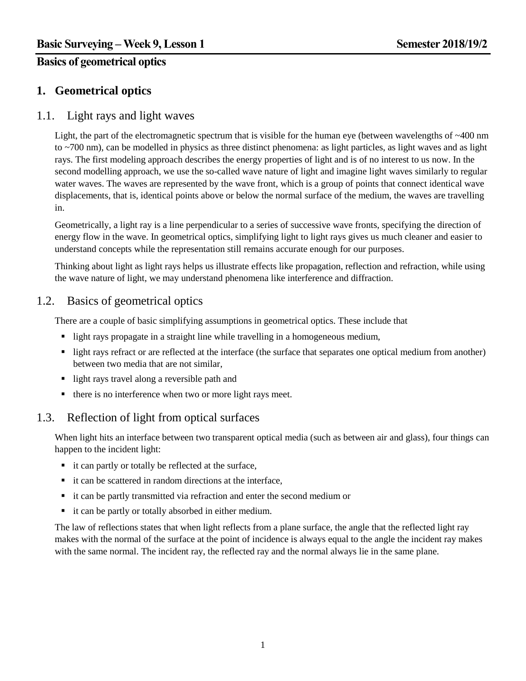## **Basics of geometrical optics**

# **1. Geometrical optics**

### 1.1. Light rays and light waves

Light, the part of the electromagnetic spectrum that is visible for the human eye (between wavelengths of ~400 nm to ~700 nm), can be modelled in physics as three distinct phenomena: as light particles, as light waves and as light rays. The first modeling approach describes the energy properties of light and is of no interest to us now. In the second modelling approach, we use the so-called wave nature of light and imagine light waves similarly to regular water waves. The waves are represented by the wave front, which is a group of points that connect identical wave displacements, that is, identical points above or below the normal surface of the medium, the waves are travelling in.

Geometrically, a light ray is a line perpendicular to a series of successive wave fronts, specifying the direction of energy flow in the wave. In geometrical optics, simplifying light to light rays gives us much cleaner and easier to understand concepts while the representation still remains accurate enough for our purposes.

Thinking about light as light rays helps us illustrate effects like propagation, reflection and refraction, while using the wave nature of light, we may understand phenomena like interference and diffraction.

## 1.2. Basics of geometrical optics

There are a couple of basic simplifying assumptions in geometrical optics. These include that

- light rays propagate in a straight line while travelling in a homogeneous medium,
- light rays refract or are reflected at the interface (the surface that separates one optical medium from another) between two media that are not similar,
- light rays travel along a reversible path and
- $\blacksquare$  there is no interference when two or more light rays meet.

# 1.3. Reflection of light from optical surfaces

When light hits an interface between two transparent optical media (such as between air and glass), four things can happen to the incident light:

- $\blacksquare$  it can partly or totally be reflected at the surface,
- $\blacksquare$  it can be scattered in random directions at the interface,
- it can be partly transmitted via refraction and enter the second medium or
- it can be partly or totally absorbed in either medium.

The law of reflections states that when light reflects from a plane surface, the angle that the reflected light ray makes with the normal of the surface at the point of incidence is always equal to the angle the incident ray makes with the same normal. The incident ray, the reflected ray and the normal always lie in the same plane.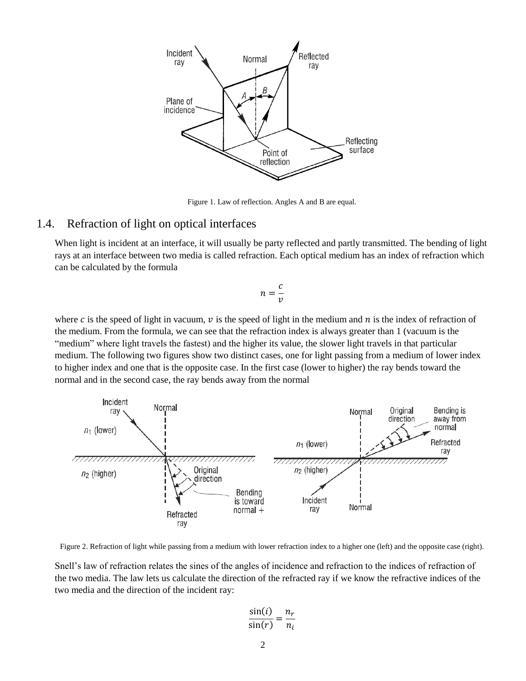

Figure 1. Law of reflection. Angles A and B are equal.

#### 1.4. Refraction of light on optical interfaces

When light is incident at an interface, it will usually be party reflected and partly transmitted. The bending of light rays at an interface between two media is called refraction. Each optical medium has an index of refraction which can be calculated by the formula

$$
n=\frac{c}{v}
$$

where c is the speed of light in vacuum,  $\nu$  is the speed of light in the medium and  $n$  is the index of refraction of the medium. From the formula, we can see that the refraction index is always greater than 1 (vacuum is the "medium" where light travels the fastest) and the higher its value, the slower light travels in that particular medium. The following two figures show two distinct cases, one for light passing from a medium of lower index to higher index and one that is the opposite case. In the first case (lower to higher) the ray bends toward the normal and in the second case, the ray bends away from the normal



Figure 2. Refraction of light while passing from a medium with lower refraction index to a higher one (left) and the opposite case (right).

Snell's law of refraction relates the sines of the angles of incidence and refraction to the indices of refraction of the two media. The law lets us calculate the direction of the refracted ray if we know the refractive indices of the two media and the direction of the incident ray:

$$
\frac{\sin(i)}{\sin(r)} = \frac{n_r}{n_i}
$$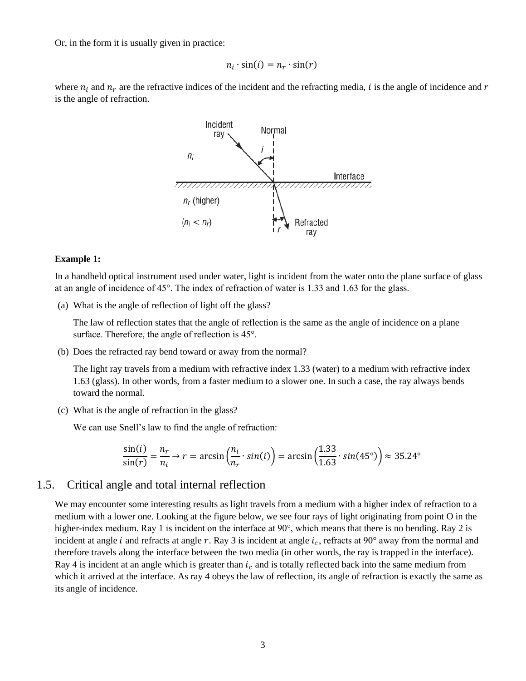Or, in the form it is usually given in practice:

$$
n_i \cdot \sin(i) = n_r \cdot \sin(r)
$$

where  $n_i$  and  $n_r$  are the refractive indices of the incident and the refracting media, *i* is the angle of incidence and r is the angle of refraction.



#### **Example 1:**

In a handheld optical instrument used under water, light is incident from the water onto the plane surface of glass at an angle of incidence of 45°. The index of refraction of water is 1.33 and 1.63 for the glass.

(a) What is the angle of reflection of light off the glass?

The law of reflection states that the angle of reflection is the same as the angle of incidence on a plane surface. Therefore, the angle of reflection is  $45^{\circ}$ .

(b) Does the refracted ray bend toward or away from the normal?

The light ray travels from a medium with refractive index 1.33 (water) to a medium with refractive index 1.63 (glass). In other words, from a faster medium to a slower one. In such a case, the ray always bends toward the normal.

(c) What is the angle of refraction in the glass?

We can use Snell's law to find the angle of refraction:

$$
\frac{\sin(i)}{\sin(r)} = \frac{n_r}{n_i} \to r = \arcsin\left(\frac{n_i}{n_r} \cdot \sin(i)\right) = \arcsin\left(\frac{1.33}{1.63} \cdot \sin(45^\circ)\right) \approx 35.24^\circ
$$

#### 1.5. Critical angle and total internal reflection

We may encounter some interesting results as light travels from a medium with a higher index of refraction to a medium with a lower one. Looking at the figure below, we see four rays of light originating from point O in the higher-index medium. Ray 1 is incident on the interface at 90°, which means that there is no bending. Ray 2 is incident at angle *i* and refracts at angle r. Ray 3 is incident at angle  $i_c$ , refracts at 90° away from the normal and therefore travels along the interface between the two media (in other words, the ray is trapped in the interface). Ray 4 is incident at an angle which is greater than  $i_c$  and is totally reflected back into the same medium from which it arrived at the interface. As ray 4 obeys the law of reflection, its angle of refraction is exactly the same as its angle of incidence.